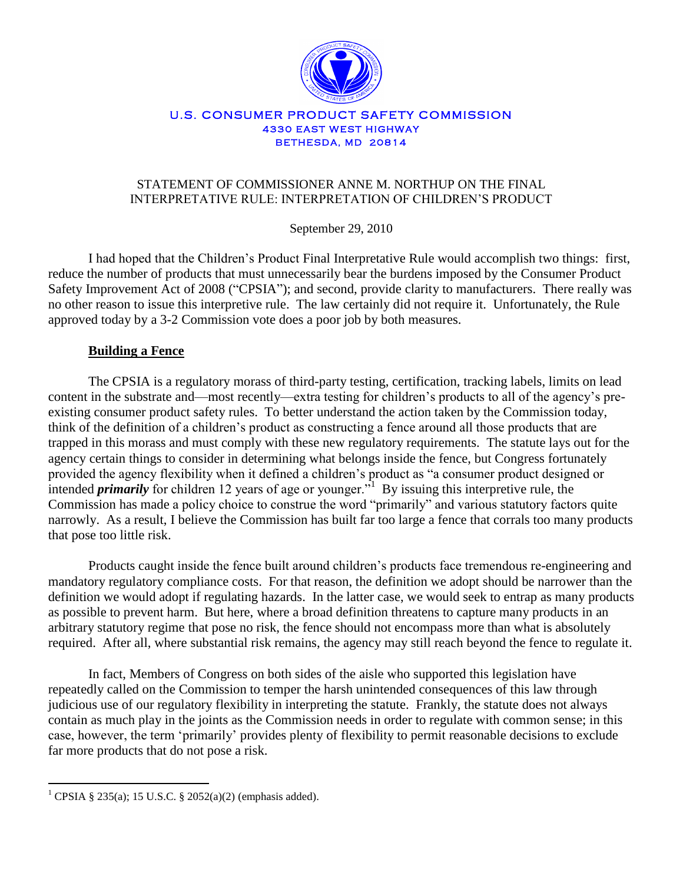

## U.S. CONSUMER PRODUCT SAFETY COMMISSION **4330 EAST WEST HIGHWAY BETHESDA, MD 20814**

# STATEMENT OF COMMISSIONER ANNE M. NORTHUP ON THE FINAL INTERPRETATIVE RULE: INTERPRETATION OF CHILDREN"S PRODUCT

September 29, 2010

I had hoped that the Children"s Product Final Interpretative Rule would accomplish two things: first, reduce the number of products that must unnecessarily bear the burdens imposed by the Consumer Product Safety Improvement Act of 2008 ("CPSIA"); and second, provide clarity to manufacturers. There really was no other reason to issue this interpretive rule. The law certainly did not require it. Unfortunately, the Rule approved today by a 3-2 Commission vote does a poor job by both measures.

# **Building a Fence**

The CPSIA is a regulatory morass of third-party testing, certification, tracking labels, limits on lead content in the substrate and—most recently—extra testing for children"s products to all of the agency"s preexisting consumer product safety rules. To better understand the action taken by the Commission today, think of the definition of a children"s product as constructing a fence around all those products that are trapped in this morass and must comply with these new regulatory requirements. The statute lays out for the agency certain things to consider in determining what belongs inside the fence, but Congress fortunately provided the agency flexibility when it defined a children"s product as "a consumer product designed or intended *primarily* for children 12 years of age or younger.<sup>"I</sup> By issuing this interpretive rule, the Commission has made a policy choice to construe the word "primarily" and various statutory factors quite narrowly. As a result, I believe the Commission has built far too large a fence that corrals too many products that pose too little risk.

Products caught inside the fence built around children"s products face tremendous re-engineering and mandatory regulatory compliance costs. For that reason, the definition we adopt should be narrower than the definition we would adopt if regulating hazards. In the latter case, we would seek to entrap as many products as possible to prevent harm. But here, where a broad definition threatens to capture many products in an arbitrary statutory regime that pose no risk, the fence should not encompass more than what is absolutely required. After all, where substantial risk remains, the agency may still reach beyond the fence to regulate it.

In fact, Members of Congress on both sides of the aisle who supported this legislation have repeatedly called on the Commission to temper the harsh unintended consequences of this law through judicious use of our regulatory flexibility in interpreting the statute. Frankly, the statute does not always contain as much play in the joints as the Commission needs in order to regulate with common sense; in this case, however, the term "primarily" provides plenty of flexibility to permit reasonable decisions to exclude far more products that do not pose a risk.

 $\overline{a}$ 

<sup>&</sup>lt;sup>1</sup> CPSIA § 235(a); 15 U.S.C. § 2052(a)(2) (emphasis added).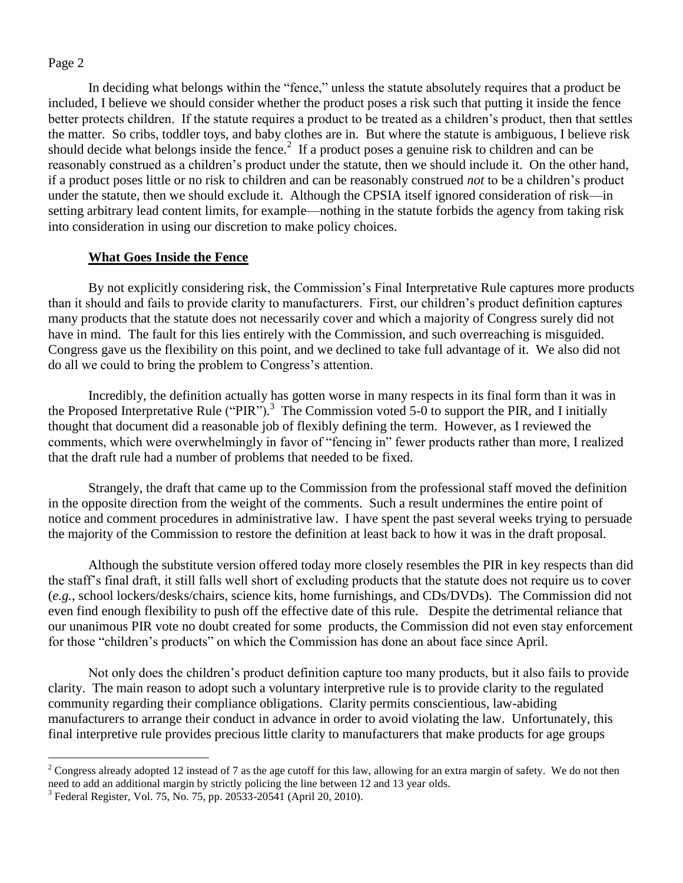$\overline{a}$ 

In deciding what belongs within the "fence," unless the statute absolutely requires that a product be included, I believe we should consider whether the product poses a risk such that putting it inside the fence better protects children. If the statute requires a product to be treated as a children"s product, then that settles the matter. So cribs, toddler toys, and baby clothes are in. But where the statute is ambiguous, I believe risk should decide what belongs inside the fence.<sup>2</sup> If a product poses a genuine risk to children and can be reasonably construed as a children"s product under the statute, then we should include it. On the other hand, if a product poses little or no risk to children and can be reasonably construed *not* to be a children"s product under the statute, then we should exclude it. Although the CPSIA itself ignored consideration of risk—in setting arbitrary lead content limits, for example—nothing in the statute forbids the agency from taking risk into consideration in using our discretion to make policy choices.

## **What Goes Inside the Fence**

By not explicitly considering risk, the Commission's Final Interpretative Rule captures more products than it should and fails to provide clarity to manufacturers. First, our children"s product definition captures many products that the statute does not necessarily cover and which a majority of Congress surely did not have in mind. The fault for this lies entirely with the Commission, and such overreaching is misguided. Congress gave us the flexibility on this point, and we declined to take full advantage of it. We also did not do all we could to bring the problem to Congress"s attention.

Incredibly, the definition actually has gotten worse in many respects in its final form than it was in the Proposed Interpretative Rule ("PIR").<sup>3</sup> The Commission voted 5-0 to support the PIR, and I initially thought that document did a reasonable job of flexibly defining the term. However, as I reviewed the comments, which were overwhelmingly in favor of "fencing in" fewer products rather than more, I realized that the draft rule had a number of problems that needed to be fixed.

Strangely, the draft that came up to the Commission from the professional staff moved the definition in the opposite direction from the weight of the comments. Such a result undermines the entire point of notice and comment procedures in administrative law. I have spent the past several weeks trying to persuade the majority of the Commission to restore the definition at least back to how it was in the draft proposal.

Although the substitute version offered today more closely resembles the PIR in key respects than did the staff"s final draft, it still falls well short of excluding products that the statute does not require us to cover (*e.g.*, school lockers/desks/chairs, science kits, home furnishings, and CDs/DVDs). The Commission did not even find enough flexibility to push off the effective date of this rule. Despite the detrimental reliance that our unanimous PIR vote no doubt created for some products, the Commission did not even stay enforcement for those "children"s products" on which the Commission has done an about face since April.

Not only does the children"s product definition capture too many products, but it also fails to provide clarity. The main reason to adopt such a voluntary interpretive rule is to provide clarity to the regulated community regarding their compliance obligations. Clarity permits conscientious, law-abiding manufacturers to arrange their conduct in advance in order to avoid violating the law. Unfortunately, this final interpretive rule provides precious little clarity to manufacturers that make products for age groups

 $2^2$  Congress already adopted 12 instead of 7 as the age cutoff for this law, allowing for an extra margin of safety. We do not then need to add an additional margin by strictly policing the line between 12 and 13 year olds.

<sup>&</sup>lt;sup>3</sup> Federal Register, Vol. 75, No. 75, pp. 20533-20541 (April 20, 2010).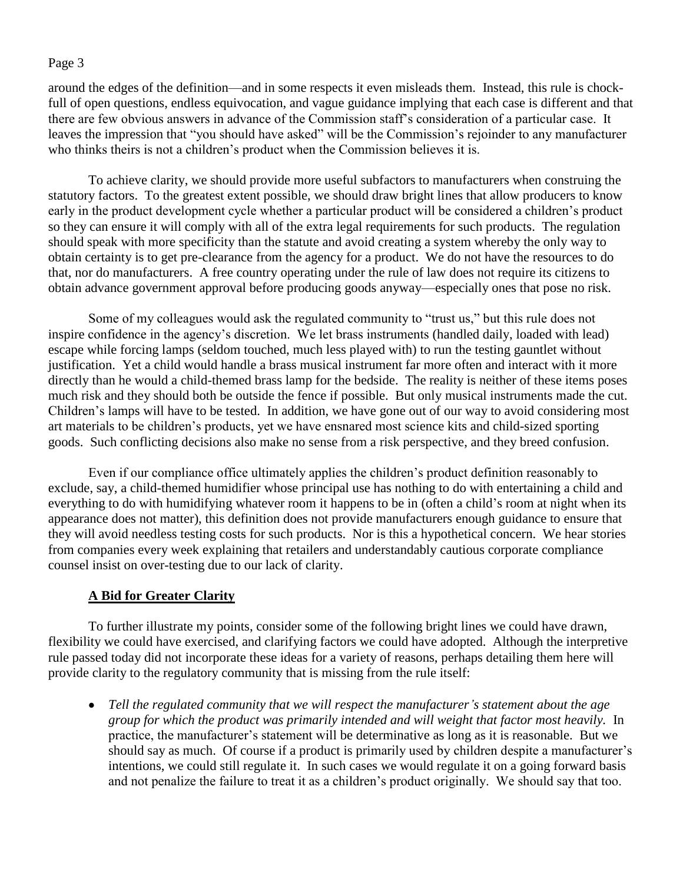around the edges of the definition—and in some respects it even misleads them. Instead, this rule is chockfull of open questions, endless equivocation, and vague guidance implying that each case is different and that there are few obvious answers in advance of the Commission staff"s consideration of a particular case. It leaves the impression that "you should have asked" will be the Commission's rejoinder to any manufacturer who thinks theirs is not a children"s product when the Commission believes it is.

To achieve clarity, we should provide more useful subfactors to manufacturers when construing the statutory factors. To the greatest extent possible, we should draw bright lines that allow producers to know early in the product development cycle whether a particular product will be considered a children"s product so they can ensure it will comply with all of the extra legal requirements for such products. The regulation should speak with more specificity than the statute and avoid creating a system whereby the only way to obtain certainty is to get pre-clearance from the agency for a product. We do not have the resources to do that, nor do manufacturers. A free country operating under the rule of law does not require its citizens to obtain advance government approval before producing goods anyway—especially ones that pose no risk.

Some of my colleagues would ask the regulated community to "trust us," but this rule does not inspire confidence in the agency"s discretion. We let brass instruments (handled daily, loaded with lead) escape while forcing lamps (seldom touched, much less played with) to run the testing gauntlet without justification. Yet a child would handle a brass musical instrument far more often and interact with it more directly than he would a child-themed brass lamp for the bedside. The reality is neither of these items poses much risk and they should both be outside the fence if possible. But only musical instruments made the cut. Children"s lamps will have to be tested. In addition, we have gone out of our way to avoid considering most art materials to be children"s products, yet we have ensnared most science kits and child-sized sporting goods. Such conflicting decisions also make no sense from a risk perspective, and they breed confusion.

Even if our compliance office ultimately applies the children"s product definition reasonably to exclude, say, a child-themed humidifier whose principal use has nothing to do with entertaining a child and everything to do with humidifying whatever room it happens to be in (often a child's room at night when its appearance does not matter), this definition does not provide manufacturers enough guidance to ensure that they will avoid needless testing costs for such products. Nor is this a hypothetical concern. We hear stories from companies every week explaining that retailers and understandably cautious corporate compliance counsel insist on over-testing due to our lack of clarity.

# **A Bid for Greater Clarity**

To further illustrate my points, consider some of the following bright lines we could have drawn, flexibility we could have exercised, and clarifying factors we could have adopted. Although the interpretive rule passed today did not incorporate these ideas for a variety of reasons, perhaps detailing them here will provide clarity to the regulatory community that is missing from the rule itself:

 $\bullet$ *Tell the regulated community that we will respect the manufacturer's statement about the age group for which the product was primarily intended and will weight that factor most heavily.* In practice, the manufacturer"s statement will be determinative as long as it is reasonable. But we should say as much. Of course if a product is primarily used by children despite a manufacturer's intentions, we could still regulate it. In such cases we would regulate it on a going forward basis and not penalize the failure to treat it as a children"s product originally. We should say that too.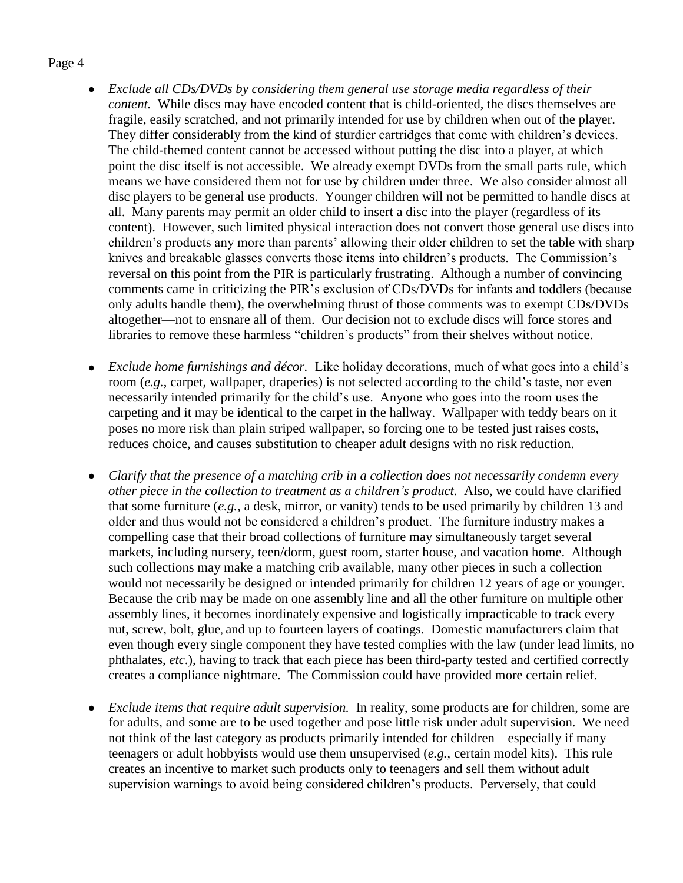- *Exclude all CDs/DVDs by considering them general use storage media regardless of their content.* While discs may have encoded content that is child-oriented, the discs themselves are fragile, easily scratched, and not primarily intended for use by children when out of the player. They differ considerably from the kind of sturdier cartridges that come with children"s devices. The child-themed content cannot be accessed without putting the disc into a player, at which point the disc itself is not accessible. We already exempt DVDs from the small parts rule, which means we have considered them not for use by children under three. We also consider almost all disc players to be general use products. Younger children will not be permitted to handle discs at all. Many parents may permit an older child to insert a disc into the player (regardless of its content). However, such limited physical interaction does not convert those general use discs into children"s products any more than parents" allowing their older children to set the table with sharp knives and breakable glasses converts those items into children's products. The Commission's reversal on this point from the PIR is particularly frustrating. Although a number of convincing comments came in criticizing the PIR"s exclusion of CDs/DVDs for infants and toddlers (because only adults handle them), the overwhelming thrust of those comments was to exempt CDs/DVDs altogether—not to ensnare all of them. Our decision not to exclude discs will force stores and libraries to remove these harmless "children"s products" from their shelves without notice.
- *Exclude home furnishings and décor.* Like holiday decorations, much of what goes into a child"s  $\bullet$ room (*e.g.*, carpet, wallpaper, draperies) is not selected according to the child's taste, nor even necessarily intended primarily for the child"s use. Anyone who goes into the room uses the carpeting and it may be identical to the carpet in the hallway. Wallpaper with teddy bears on it poses no more risk than plain striped wallpaper, so forcing one to be tested just raises costs, reduces choice, and causes substitution to cheaper adult designs with no risk reduction.
- *Clarify that the presence of a matching crib in a collection does not necessarily condemn every*  $\bullet$ *other piece in the collection to treatment as a children's product.* Also, we could have clarified that some furniture (*e.g.*, a desk, mirror, or vanity) tends to be used primarily by children 13 and older and thus would not be considered a children"s product. The furniture industry makes a compelling case that their broad collections of furniture may simultaneously target several markets, including nursery, teen/dorm, guest room, starter house, and vacation home. Although such collections may make a matching crib available, many other pieces in such a collection would not necessarily be designed or intended primarily for children 12 years of age or younger. Because the crib may be made on one assembly line and all the other furniture on multiple other assembly lines, it becomes inordinately expensive and logistically impracticable to track every nut, screw, bolt, glue, and up to fourteen layers of coatings. Domestic manufacturers claim that even though every single component they have tested complies with the law (under lead limits, no phthalates, *etc*.), having to track that each piece has been third-party tested and certified correctly creates a compliance nightmare. The Commission could have provided more certain relief.
- *Exclude items that require adult supervision.* In reality, some products are for children, some are  $\bullet$ for adults, and some are to be used together and pose little risk under adult supervision. We need not think of the last category as products primarily intended for children—especially if many teenagers or adult hobbyists would use them unsupervised (*e.g.*, certain model kits). This rule creates an incentive to market such products only to teenagers and sell them without adult supervision warnings to avoid being considered children"s products. Perversely, that could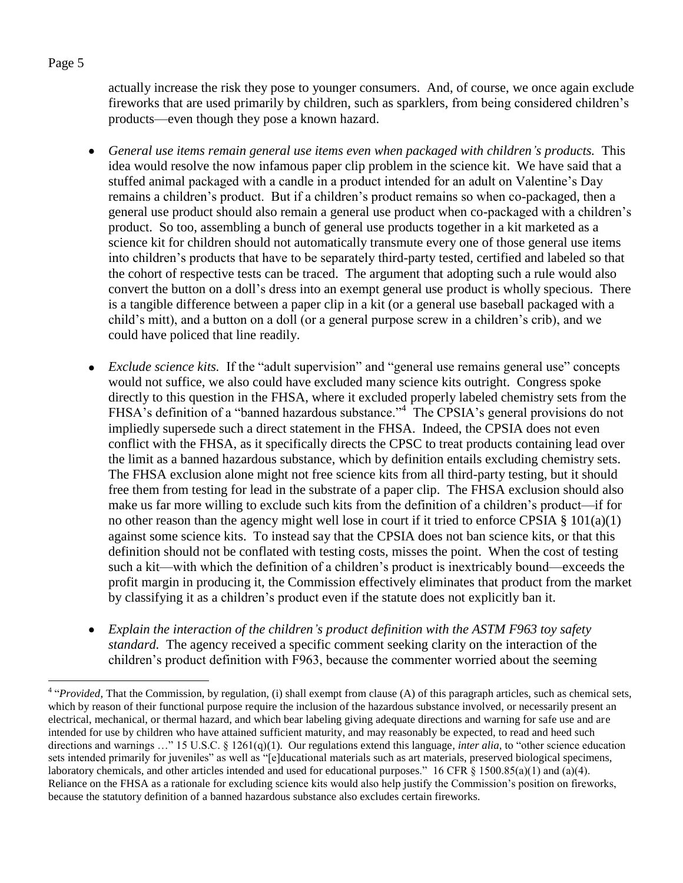actually increase the risk they pose to younger consumers. And, of course, we once again exclude fireworks that are used primarily by children, such as sparklers, from being considered children"s products—even though they pose a known hazard.

- *General use items remain general use items even when packaged with children's products.* This  $\bullet$ idea would resolve the now infamous paper clip problem in the science kit. We have said that a stuffed animal packaged with a candle in a product intended for an adult on Valentine"s Day remains a children"s product. But if a children"s product remains so when co-packaged, then a general use product should also remain a general use product when co-packaged with a children"s product. So too, assembling a bunch of general use products together in a kit marketed as a science kit for children should not automatically transmute every one of those general use items into children"s products that have to be separately third-party tested, certified and labeled so that the cohort of respective tests can be traced. The argument that adopting such a rule would also convert the button on a doll"s dress into an exempt general use product is wholly specious. There is a tangible difference between a paper clip in a kit (or a general use baseball packaged with a child"s mitt), and a button on a doll (or a general purpose screw in a children"s crib), and we could have policed that line readily.
- *Exclude science kits.* If the "adult supervision" and "general use remains general use" concepts  $\bullet$ would not suffice, we also could have excluded many science kits outright. Congress spoke directly to this question in the FHSA, where it excluded properly labeled chemistry sets from the FHSA's definition of a "banned hazardous substance."<sup>4</sup> The CPSIA's general provisions do not impliedly supersede such a direct statement in the FHSA. Indeed, the CPSIA does not even conflict with the FHSA, as it specifically directs the CPSC to treat products containing lead over the limit as a banned hazardous substance, which by definition entails excluding chemistry sets. The FHSA exclusion alone might not free science kits from all third-party testing, but it should free them from testing for lead in the substrate of a paper clip. The FHSA exclusion should also make us far more willing to exclude such kits from the definition of a children"s product—if for no other reason than the agency might well lose in court if it tried to enforce CPSIA § 101(a)(1) against some science kits. To instead say that the CPSIA does not ban science kits, or that this definition should not be conflated with testing costs, misses the point. When the cost of testing such a kit—with which the definition of a children"s product is inextricably bound—exceeds the profit margin in producing it, the Commission effectively eliminates that product from the market by classifying it as a children"s product even if the statute does not explicitly ban it.
- *Explain the interaction of the children's product definition with the ASTM F963 toy safety standard.* The agency received a specific comment seeking clarity on the interaction of the children"s product definition with F963, because the commenter worried about the seeming

## Page 5

 $\overline{a}$ 

<sup>&</sup>lt;sup>4</sup> "*Provided*, That the Commission, by regulation, (i) shall exempt from clause (A) of this paragraph articles, such as chemical sets, which by reason of their functional purpose require the inclusion of the hazardous substance involved, or necessarily present an electrical, mechanical, or thermal hazard, and which bear labeling giving adequate directions and warning for safe use and are intended for use by children who have attained sufficient maturity, and may reasonably be expected, to read and heed such directions and warnings …" 15 U.S.C. § 1261(q)(1). Our regulations extend this language, *inter alia*, to "other science education sets intended primarily for juveniles" as well as "[e]ducational materials such as art materials, preserved biological specimens, laboratory chemicals, and other articles intended and used for educational purposes." 16 CFR § 1500.85(a)(1) and (a)(4). Reliance on the FHSA as a rationale for excluding science kits would also help justify the Commission's position on fireworks, because the statutory definition of a banned hazardous substance also excludes certain fireworks.